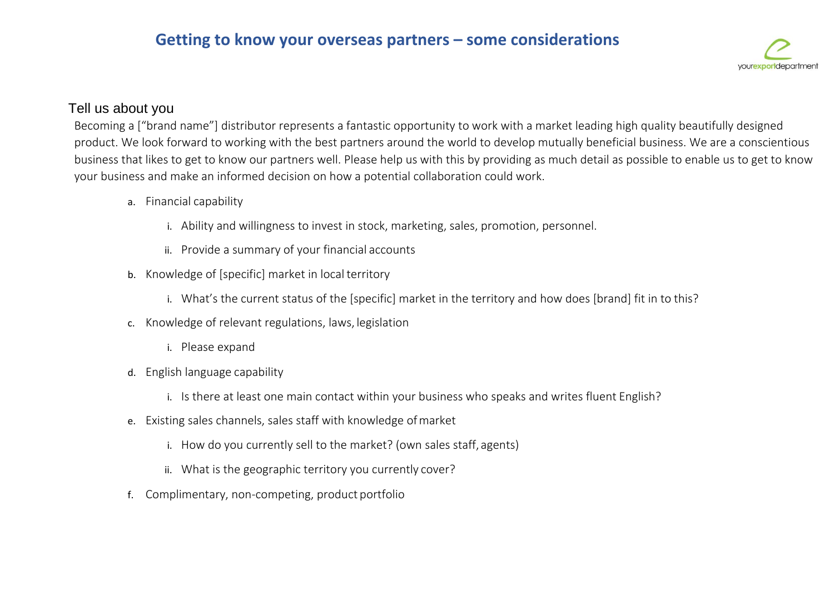

## Tell us about you

Becoming a ["brand name"] distributor represents a fantastic opportunity to work with a market leading high quality beautifully designed product. We look forward to working with the best partners around the world to develop mutually beneficial business. We are a conscientious business that likes to get to know our partners well. Please help us with this by providing as much detail as possible to enable us to get to know your business and make an informed decision on how a potential collaboration could work.

- a. Financial capability
	- i. Ability and willingness to invest in stock, marketing, sales, promotion, personnel.
	- ii. Provide a summary of your financial accounts
- b. Knowledge of [specific] market in local territory
	- i. What's the current status of the [specific] market in the territory and how does [brand] fit in to this?
- c. Knowledge of relevant regulations, laws, legislation
	- i. Please expand
- d. English language capability
	- i. Is there at least one main contact within your business who speaks and writes fluent English?
- e. Existing sales channels, sales staff with knowledge ofmarket
	- i. How do you currently sell to the market? (own sales staff, agents)
	- ii. What is the geographic territory you currently cover?
- f. Complimentary, non-competing, product portfolio